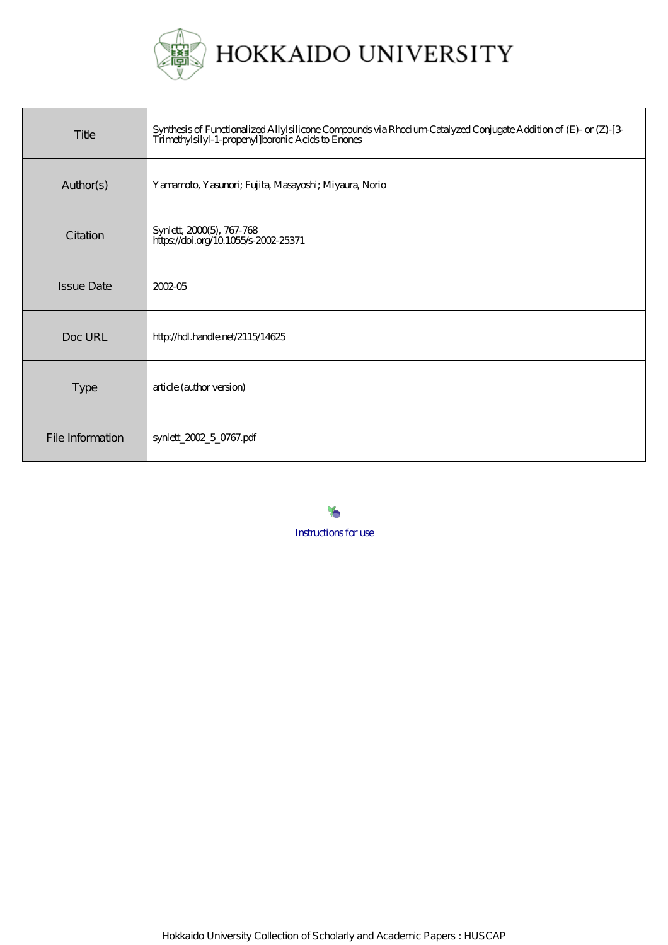

| Title             | Synthesis of Functionalized Allylsilicone Compounds via Rhodium-Catalyzed Conjugate Addition of (E)- or (Z)-[3-<br>Trimethylsilyl-1-propenyl]boronic Acids to Enones |
|-------------------|----------------------------------------------------------------------------------------------------------------------------------------------------------------------|
| Author(s)         | Yamamoto, Yasunori; Fujita, Masayoshi; Miyaura, Norio                                                                                                                |
| Citation          | Synlett, 2000(5), 767-768<br>https://doi.org/10.1055/s-2002-25371                                                                                                    |
| <b>Issue Date</b> | 2002-05                                                                                                                                                              |
| Doc URL           | http://hdl.handle.net/2115/14625                                                                                                                                     |
| <b>Type</b>       | article (author version)                                                                                                                                             |
| File Information  | synlett_2002_5_0767.pdf                                                                                                                                              |

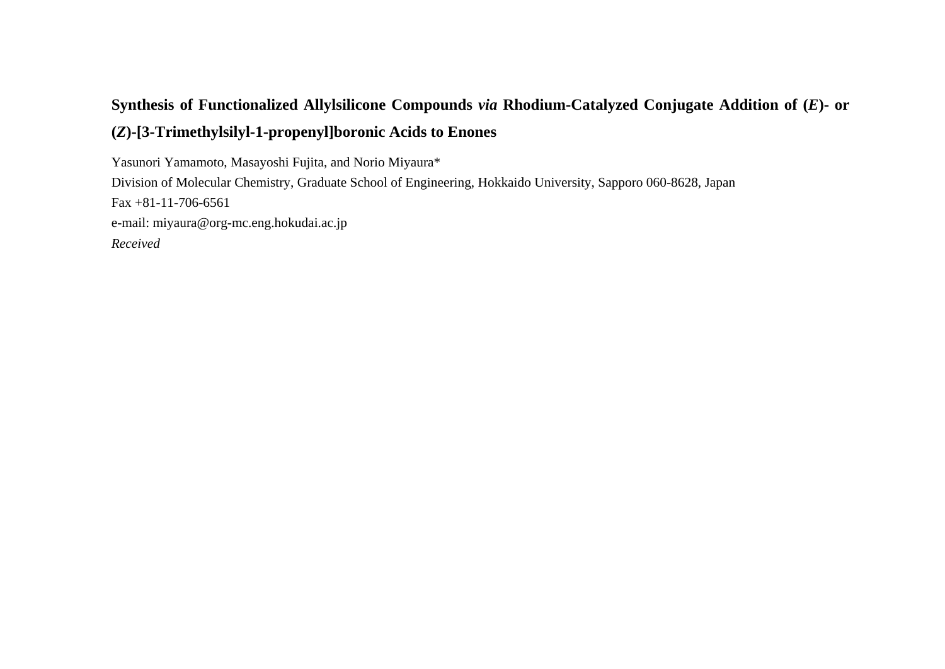# **Synthesis of Functionalized Allylsilicone Compounds** *via* **Rhodium-Catalyzed Conjugate Addition of (** *E***)- or (***Z***)-[3-Trimethylsilyl-1-propenyl]boronic Acids to Enones**

Yasunori Yamamoto, Masayoshi Fujita, and Norio Miyaura\* Division of Molecular Chemistry, Graduate School of Engineering, Hokkaido University, Sapporo 060-8628, Japan Fax +81-11-706-6561 e-mail: miyaura@org-mc.eng.hokudai.ac.jp *Received*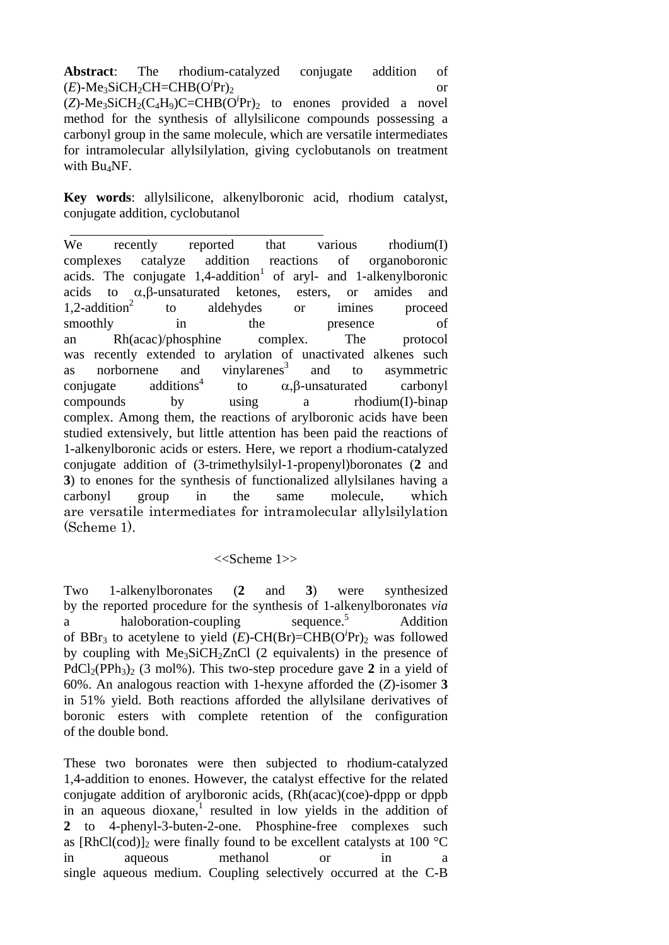**Abstract**: The rhodium-catalyzed conjugate addition of  $(E)$ -Me<sub>3</sub>SiCH<sub>2</sub>CH=CHB(O<sup>*i*</sup>Pr)<sub>2</sub>  $Pr)_2$  or

 $(Z)$ -Me<sub>3</sub>SiCH<sub>2</sub>(C<sub>4</sub>H<sub>9</sub>)C=CHB(O<sup>*i*</sup>Pr)<sub>2</sub> to enones provided a novel method for the synthesis of allylsilicone compounds possessing a carbonyl group in the same molecule, which are versatile intermediates for intramolecular allylsilylation, giving cyclobutanols on treatment with Bu4NF.

**Key words**: allylsilicone, alkenylboronic acid, rhodium catalyst, conjugate addition, cyclobutanol

We recently reported that various rhodium(I) complexes catalyze addition reactions of organoboronic acids. The conjugate  $1,4$ -addition<sup>1</sup> of aryl- and 1-alkenylboronic acids to α,β-unsaturated ketones, esters, or amides and  $1,2$ -addition<sup>2</sup> to aldehydes or imines proceed smoothly in the presence of an Rh(acac)/phosphine complex. The protocol was recently extended to arylation of unactivated alkenes such as norbornene and vinylarenes<sup>3</sup> and to asymmetric  $conjugate$  additions<sup>4</sup> to α,β-unsaturated carbonyl compounds by using a rhodium(I)-binap complex. Among them, the reactions of arylboronic acids have been studied extensively, but little attention has been paid the reactions of 1-alkenylboronic acids or esters. Here, we report a rhodium-catalyzed conjugate addition of (3-trimethylsilyl-1-propenyl)boronates (**2** and **3**) to enones for the synthesis of functionalized allylsilanes having a carbonyl group in the same molecule, which are versatile intermediates for intramolecular allylsilylation (Scheme 1).

## <<Scheme 1>>

Two 1-alkenylboronates (**2** and **3**) were synthesized by the reported procedure for the synthesis of 1-alkenylboronates *via* a haloboration-coupling sequence.<sup>5</sup> Addition of BBr<sub>3</sub> to acetylene to yield  $(E)$ -CH(Br)=CHB(O<sup>*i*</sup>Pr)<sub>2</sub> was followed by coupling with  $Me<sub>3</sub>SiCH<sub>2</sub>ZnCl$  (2 equivalents) in the presence of  $PdCl_2(PPh_3)_2$  (3 mol%). This two-step procedure gave 2 in a yield of 60%. An analogous reaction with 1-hexyne afforded the (*Z*)-isomer **3** in 51% yield. Both reactions afforded the allylsilane derivatives of boronic esters with complete retention of the configuration of the double bond.

These two boronates were then subjected to rhodium-catalyzed 1,4-addition to enones. However, the catalyst effective for the related conjugate addition of arylboronic acids, (Rh(acac)(coe)-dppp or dppb in an aqueous dioxane, $\frac{1}{1}$  resulted in low yields in the addition of **2** to 4-phenyl-3-buten-2-one. Phosphine-free complexes such as [RhCl(cod)] $\alpha$  were finally found to be excellent catalysts at 100  $\degree$ C in aqueous methanol or in a single aqueous medium. Coupling selectively occurred at the C-B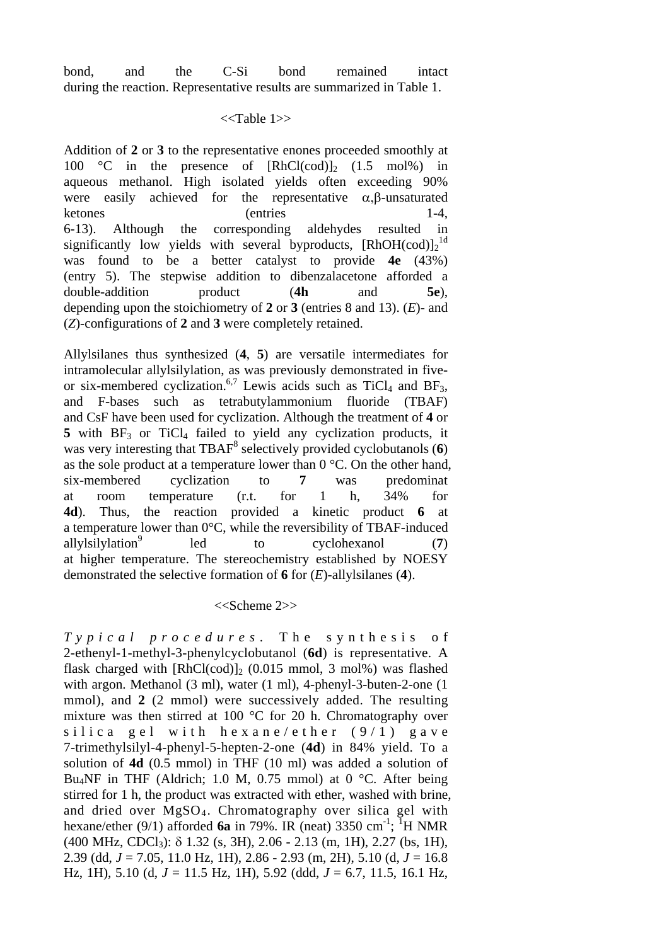bond, and the C-Si bond remained intact during the reaction. Representative results are summarized in Table 1.

#### <<Table 1>>

Addition of **2** or **3** to the representative enones proceeded smoothly at 100 °C in the presence of  $[RhCl(cod)]_2$  (1.5 mol%) in aqueous methanol. High isolated yields often exceeding 90% were easily achieved for the representative  $\alpha, \beta$ -unsaturated ketones (entries 1-4, 6-13). Although the corresponding aldehydes resulted in significantly low yields with several byproducts, [RhOH(cod)]<sub>2</sub><sup>1d</sup> was found to be a better catalyst to provide **4e** (43%) (entry 5). The stepwise addition to dibenzalacetone afforded a double-addition product (**4h** and **5e**), depending upon the stoichiometry of **2** or **3** (entries 8 and 13). (*E*)- and (*Z*)-configurations of **2** and **3** were completely retained.

Allylsilanes thus synthesized (**4**, **5**) are versatile intermediates for intramolecular allylsilylation, as was previously demonstrated in fiveor six-membered cyclization.<sup>6,7</sup> Lewis acids such as  $TiCl<sub>4</sub>$  and  $BF<sub>3</sub>$ , and F-bases such as tetrabutylammonium fluoride (TBAF) and CsF have been used for cyclization. Although the treatment of **4** or 5 with BF<sub>3</sub> or TiCl<sub>4</sub> failed to yield any cyclization products, it was very interesting that TBAF<sup>8</sup> selectively provided cyclobutanols (6) as the sole product at a temperature lower than  $0^{\circ}$ C. On the other hand, six-membered cyclization to **7** was predominat at room temperature (r.t. for 1 h, 34% for **4d**). Thus, the reaction provided a kinetic product **6** at a temperature lower than 0°C, while the reversibility of TBAF-induced allylsilylation<sup>9</sup> led to cyclohexanol (**7**) at higher temperature. The stereochemistry established by NOESY demonstrated the selective formation of **6** for (*E*)-allylsilanes (**4**).

### <<Scheme 2>>

*Typical procedures*. The synthesis of 2-ethenyl-1-methyl-3-phenylcyclobutanol (**6d**) is representative. A flask charged with  $[RhCl(cod)]_2$  (0.015 mmol, 3 mol%) was flashed with argon. Methanol (3 ml), water (1 ml), 4-phenyl-3-buten-2-one (1 mmol), and **2** (2 mmol) were successively added. The resulting mixture was then stirred at 100 °C for 20 h. Chromatography over silica gel with hexane/ether  $(9/1)$  gave 7-trimethylsilyl-4-phenyl-5-hepten-2-one (**4d**) in 84% yield. To a solution of **4d** (0.5 mmol) in THF (10 ml) was added a solution of Bu<sub>4</sub>NF in THF (Aldrich; 1.0 M, 0.75 mmol) at 0 °C. After being stirred for 1 h, the product was extracted with ether, washed with brine, and dried over  $MgSO<sub>4</sub>$ . Chromatography over silica gel with hexane/ether (9/1) afforded **6a** in 79%. IR (neat) 3350 cm<sup>-1</sup>; <sup>1</sup>H NMR  $(400 \text{ MHz}, \text{CDCl}_3)$ : δ 1.32 (s, 3H), 2.06 - 2.13 (m, 1H), 2.27 (bs, 1H), 2.39 (dd, *J* = 7.05, 11.0 Hz, 1H), 2.86 - 2.93 (m, 2H), 5.10 (d, *J* = 16.8 Hz, 1H), 5.10 (d, *J* = 11.5 Hz, 1H), 5.92 (ddd, *J* = 6.7, 11.5, 16.1 Hz,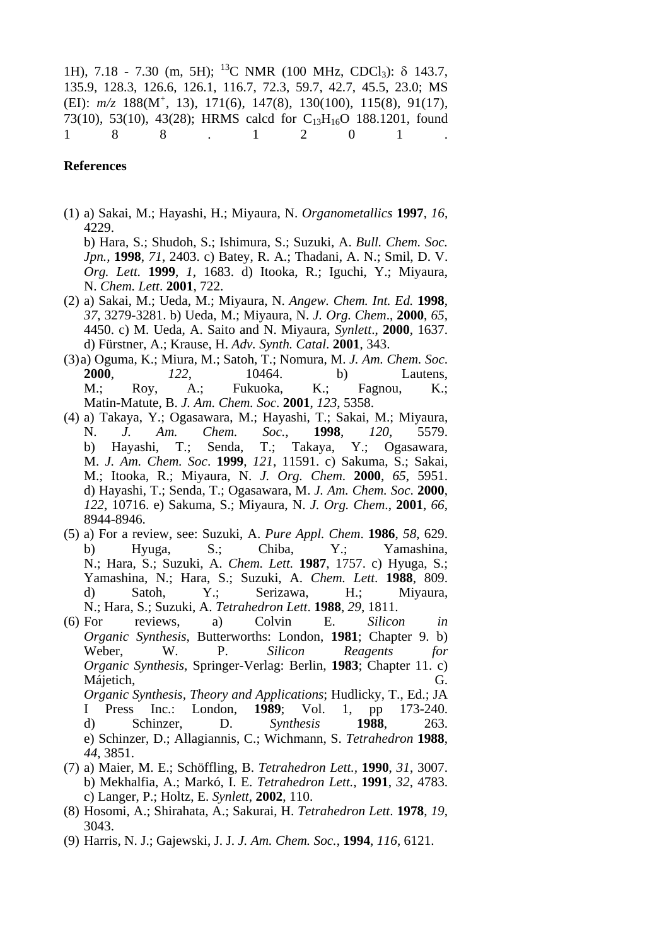1H), 7.18 - 7.30 (m, 5H); <sup>13</sup>C NMR (100 MHz, CDCl<sub>3</sub>): δ 143.7, 135.9, 128.3, 126.6, 126.1, 116.7, 72.3, 59.7, 42.7, 45.5, 23.0; MS (EI): *m/z* 188(M<sup>+</sup> , 13), 171(6), 147(8), 130(100), 115(8), 91(17), 73(10), 53(10), 43(28); HRMS calcd for C<sub>13</sub>H<sub>16</sub>O 188.1201, found 1 8 8 . 1 2 0 1 .

#### **References**

(1) a) Sakai, M.; Hayashi, H.; Miyaura, N. *Organometallics* **1997**, *16*, 4229.

b) Hara, S.; Shudoh, S.; Ishimura, S.; Suzuki, A. *Bull. Chem. Soc. Jpn.,* **1998**, *71*, 2403. c) Batey, R. A.; Thadani, A. N.; Smil, D. V. *Org. Lett.* **1999**, *1*, 1683. d) Itooka, R.; Iguchi, Y.; Miyaura, N. *Chem. Lett*. **2001**, 722.

- (2) a) Sakai, M.; Ueda, M.; Miyaura, N. *Angew. Chem. Int. Ed.* **1998**, *37*, 3279-3281. b) Ueda, M.; Miyaura, N. *J. Org. Chem*., **2000**, *65*, 4450. c) M. Ueda, A. Saito and N. Miyaura, *Synlett*., **2000**, 1637. d) Fürstner, A.; Krause, H. *Adv. Synth. Catal*. **2001**, 343.
- (3) a) Oguma, K.; Miura, M.; Satoh, T.; Nomura, M. *J. Am. Chem. Soc*. **2000**, *122*, 10464. b) Lautens, M.; Roy, A.; Fukuoka, K.; Fagnou, K.; Matin-Matute, B. *J. Am. Chem. Soc*. **2001**, *123*, 5358.
- (4) a) Takaya, Y.; Ogasawara, M.; Hayashi, T.; Sakai, M.; Miyaura, N. *J. Am. Chem. Soc.*, **1998**, *120*, 5579. b) Hayashi, T.; Senda, T.; Takaya, Y.; Ogasawara, M. *J. Am. Chem. Soc*. **1999**, *121*, 11591. c) Sakuma, S.; Sakai, M.; Itooka, R.; Miyaura, N. *J. Org. Chem*. **2000**, *65*, 5951. d) Hayashi, T.; Senda, T.; Ogasawara, M. *J. Am. Chem. Soc*. **2000**, *122*, 10716. e) Sakuma, S.; Miyaura, N. *J. Org. Chem*., **2001**, *66*, 8944-8946.
- (5) a) For a review, see: Suzuki, A. *Pure Appl. Chem*. **1986**, *58*, 629. b) Hyuga, S.; Chiba, Y.; Yamashina, N.; Hara, S.; Suzuki, A. *Chem. Lett.* **1987**, 1757. c) Hyuga, S.; Yamashina, N.; Hara, S.; Suzuki, A. *Chem. Lett*. **1988**, 809. d) Satoh, Y.; Serizawa, H.; Miyaura, N.; Hara, S.; Suzuki, A. *Tetrahedron Lett*. **1988**, *29*, 1811.
- (6) For reviews, a) Colvin E. *Silicon in Organic Synthesis*, Butterworths: London, **1981**; Chapter 9. b) Weber, W. P. *Silicon Reagents for Organic Synthesis*, Springer-Verlag: Berlin, **1983**; Chapter 11. c) Májetich, G. *Organic Synthesis, Theory and Applications*; Hudlicky, T., Ed.; JA I Press Inc.: London, **1989**; Vol. 1, pp 173-240. d) Schinzer, D. *Synthesis* **1988**, 263. e) Schinzer, D.; Allagiannis, C.; Wichmann, S. *Tetrahedron* **1988**, *44*, 3851.
- (7) a) Maier, M. E.; Schöffling, B. *Tetrahedron Lett.,* **1990**, *31*, 3007. b) Mekhalfia, A.; Markó, I. E. *Tetrahedron Lett.,* **1991**, *32*, 4783. c) Langer, P.; Holtz, E. *Synlett*, **2002**, 110.
- (8) Hosomi, A.; Shirahata, A.; Sakurai, H. *Tetrahedron Lett*. **1978**, *19*, 3043.
- (9) Harris, N. J.; Gajewski, J. J. *J. Am. Chem. Soc.*, **1994**, *116*, 6121.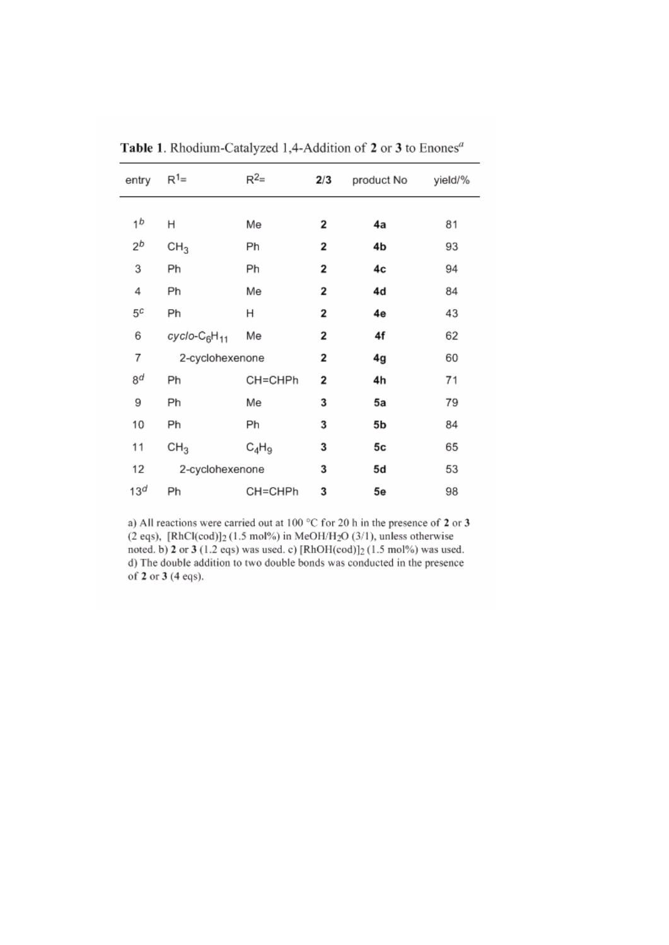| entry           | $R^1=$                               | $R^2=$   | 2/3 | product No | yield/% |
|-----------------|--------------------------------------|----------|-----|------------|---------|
|                 |                                      |          |     |            |         |
| 1 <sup>b</sup>  | Η                                    | Me       | 2   | 4a         | 81      |
| $2^b$           | CH <sub>3</sub>                      | Ph       | 2   | 4b         | 93      |
| 3               | Ph                                   | Ph       | 2   | 4c         | 94      |
| 4               | Ph                                   | Me       | 2   | 4d         | 84      |
| 5¢              | Ph                                   | н        | 2   | 4e         | 43      |
| 6               | cyclo-C <sub>6</sub> H <sub>11</sub> | Me       | 2   | 4f         | 62      |
| 7               | 2-cyclohexenone                      |          | 2   | 4g         | 60      |
| 8d              | Ph                                   | CH=CHPh  | 2   | 4h         | 71      |
| 9               | Ph                                   | Me       | 3   | 5a         | 79      |
| 10              | Ph                                   | Ph       | 3   | 5b         | 84      |
| 11              | CH <sub>3</sub>                      | $C_4H_9$ | 3   | 5c         | 65      |
| 12              | 2-cyclohexenone                      |          | 3   | 5d         | 53      |
| 13 <sup>d</sup> | Ph                                   | CH=CHPh  | 3   | 5e         | 98      |

Table 1. Rhodium-Catalyzed 1,4-Addition of 2 or 3 to Enones<sup>a</sup>

a) All reactions were carried out at 100 °C for 20 h in the presence of 2 or 3 (2 eqs),  $[RhCl(cod)]_2$  (1.5 mol%) in MeOH/H<sub>2</sub>O (3/1), unless otherwise noted. b) 2 or 3 (1.2 eqs) was used. c) [RhOH(cod)]<sub>2</sub> (1.5 mol%) was used. d) The double addition to two double bonds was conducted in the presence of 2 or 3 (4 eqs).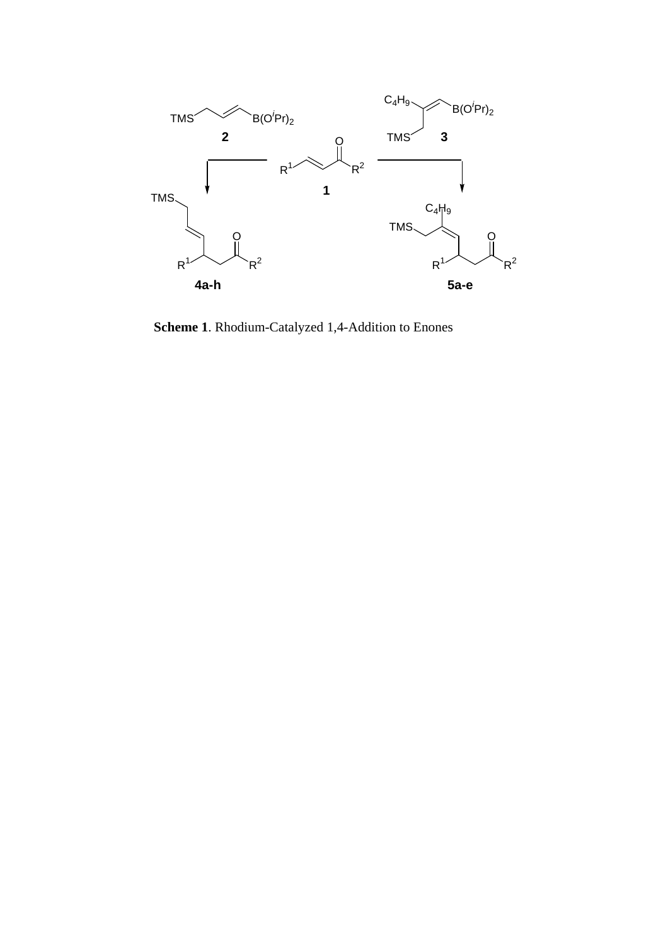

**Scheme 1**. Rhodium-Catalyzed 1,4-Addition to Enones